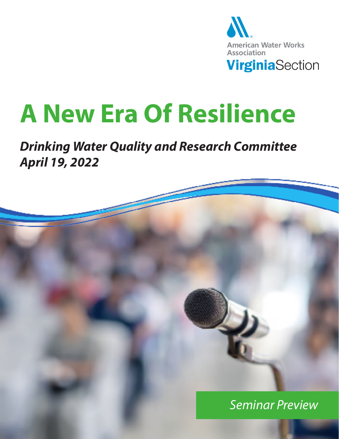

# **A New Era Of Resilience**

#### *Drinking Water Quality and Research Committee April 19, 2022*

*Seminar Preview*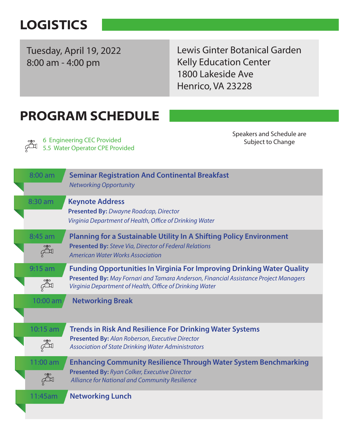# **LOGISTICS**

Tuesday, April 19, 2022 8:00 am - 4:00 pm

Lewis Ginter Botanical Garden Kelly Education Center 1800 Lakeside Ave Henrico, VA 23228

## PROGRAM SCHEDULE

6 Engineering CEC Provided 5.5 Water Operator CPE Provided Speakers and Schedule are Subject to Change

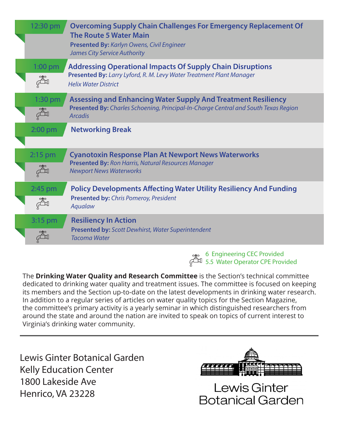| $1:00$ pm<br><b>Addressing Operational Impacts Of Supply Chain Disruptions</b><br>Presented By: Larry Lyford, R. M. Levy Water Treatment Plant Manager<br>。<br>此<br><b>Helix Water District</b><br><b>Assessing and Enhancing Water Supply And Treatment Resiliency</b><br>$1:30$ pm<br>Presented By: Charles Schoening, Principal-In-Charge Central and South Texas Region<br><b>Arcadis</b><br><b>Networking Break</b><br>$2:00$ pm<br>$2:15$ pm<br><b>Cyanotoxin Response Plan At Newport News Waterworks</b><br>Presented By: Ron Harris, Natural Resources Manager<br><b>Newport News Waterworks</b><br><b>Policy Developments Affecting Water Utility Resiliency And Funding</b><br>2:45 pm<br>Presented by: Chris Pomeroy, President<br>Aqualaw<br><b>Resiliency In Action</b><br>3:15 pm<br><b>Presented by: Scott Dewhirst, Water Superintendent</b> | 12:30 pm | <b>Overcoming Supply Chain Challenges For Emergency Replacement Of</b><br><b>The Route 5 Water Main</b><br>Presented By: Karlyn Owens, Civil Engineer<br><b>James City Service Authority</b> |
|---------------------------------------------------------------------------------------------------------------------------------------------------------------------------------------------------------------------------------------------------------------------------------------------------------------------------------------------------------------------------------------------------------------------------------------------------------------------------------------------------------------------------------------------------------------------------------------------------------------------------------------------------------------------------------------------------------------------------------------------------------------------------------------------------------------------------------------------------------------|----------|----------------------------------------------------------------------------------------------------------------------------------------------------------------------------------------------|
|                                                                                                                                                                                                                                                                                                                                                                                                                                                                                                                                                                                                                                                                                                                                                                                                                                                               |          |                                                                                                                                                                                              |
|                                                                                                                                                                                                                                                                                                                                                                                                                                                                                                                                                                                                                                                                                                                                                                                                                                                               |          |                                                                                                                                                                                              |
|                                                                                                                                                                                                                                                                                                                                                                                                                                                                                                                                                                                                                                                                                                                                                                                                                                                               |          |                                                                                                                                                                                              |
|                                                                                                                                                                                                                                                                                                                                                                                                                                                                                                                                                                                                                                                                                                                                                                                                                                                               |          |                                                                                                                                                                                              |
|                                                                                                                                                                                                                                                                                                                                                                                                                                                                                                                                                                                                                                                                                                                                                                                                                                                               |          |                                                                                                                                                                                              |
|                                                                                                                                                                                                                                                                                                                                                                                                                                                                                                                                                                                                                                                                                                                                                                                                                                                               |          | <b>Tacoma Water</b>                                                                                                                                                                          |

6 Engineering CEC Provided 5.5 Water Operator CPE Provided

The **Drinking Water Quality and Research Committee** is the Section's technical committee dedicated to drinking water quality and treatment issues. The committee is focused on keeping its members and the Section up-to-date on the latest developments in drinking water research. In addition to a regular series of articles on water quality topics for the Section Magazine, the committee's primary activity is a yearly seminar in which distinguished researchers from around the state and around the nation are invited to speak on topics of current interest to Virginia's drinking water community.

Lewis Ginter Botanical Garden Kelly Education Center 1800 Lakeside Ave Henrico, VA 23228



Lewis Ginter **Botanical Garden**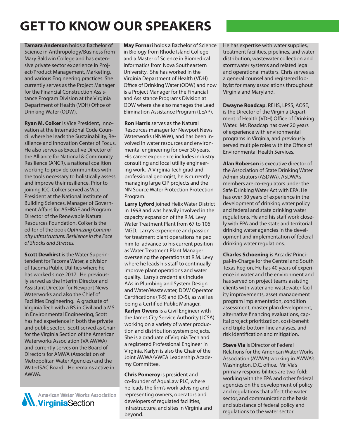# GET TO KNOW OUR SPEAKERS

Tamara Anderson holds a Bachelor of Science in Anthropology/Business from Mary Baldwin College and has extensive private sector experience in Project/Product Management, Marketing, and various Engineering practices. She currently serves as the Project Manager for the Financial Construction Assistance Program Division at the Virginia Department of Health (VDH) Office of Drinking Water (ODW).

Ryan M. Colker is Vice President, Innovation at the International Code Council where he leads the Sustainability, Resilience and Innovation Center of Focus. He also serves as Executive Director of the Alliance for National & Community Resilience (ANCR), a national coalition working to provide communities with the tools necessary to holistically assess and improve their resilience. Prior to joining ICC, Colker served as Vice President at the National Institute of Building Sciences, Manager of Government Affairs for ASHRAE and Program Director of the Renewable Natural Resources Foundation. Colker is the editor of the book *Optimizing Community Infrastructure: Resilience in the Face of Shocks and Stresses.* 

**Scott Dewhirst** is the Water Superintendent for Tacoma Water, a division of Tacoma Public Utilities where he has worked since 2017. He previously served as the Interim Director and Assistant Director for Newport News Waterworks and also the Chief of Facilities Engineering. A graduate of Virginia Tech with a BS in Civil and a MS in Environmental Engineering, Scott has had experience in both the private and public sector. Scott served as Chair for the Virginia Section of the American Waterworks Association (VA AWWA) and currently serves on the Board of Directors for AMWA (Association of Metropolitan Water Agencies) and the WaterISAC Board. He remains active in AWWA.

**American Water Works Association** American Water Works As

May Fornari holds a Bachelor of Science in Biology from Rhode Island College and a Master of Science in Biomedical Informatics from Nova Southeastern University. She has worked in the Virginia Department of Health (VDH) Office of Drinking Water (ODW) and now is a Project Manager for the Financial and Assistance Programs Division at ODW where she also manages the Lead Elimination Assistance Program (LEAP).

Ron Harris serves as the Natural Resources manager for Newport News Waterworks (NNWW), and has been involved in water resources and environmental engineering for over 30 years. His career experience includes industry consulting and local utility engineering work. A Virginia Tech grad and professional geologist, he is currently managing large CIP projects and the NN Source Water Protection Protection Program.

Karlyn Owens is a Civil Engineer with the James City Service Authority (JCSA) working on a variety of water production and distribution system projects. She is a graduate of Virginia Tech and a registered Professional Engineer in Virginia. Karlyn is also the Chair of the Joint AWWA/VWEA Leadership Academy Committee. Larry Lyford joined Helix Water District in 1998 and was heavily involved in the capacity expansion of the R.M. Levy Water Treatment Plant from 67 to 106 MGD. Larry's experience and passion for treatment plant operations helped him to advance to his current position as Water Treatment Plant Manager overseeing the operations at R.M. Levy where he leads his staff to continually improve plant operations and water quality. Larry's credentials include AAs in Plumbing and System Design and Water/Wastewater, DDW Operator Certifications (T-5) and (D-5), as well as being a Certified Public Manager.

Chris Pomeroy is president and co-founder of AquaLaw PLC, where he leads the firm's work advising and representing owners, operators and developers of regulated facilities, infrastructure, and sites in Virginia and beyond.

He has expertise with water supplies, treatment facilities, pipelines, and water distribution, wastewater collection and stormwater systems and related legal and operational matters. Chris serves as a general counsel and registered lobbyist for many associations throughout Virginia and Maryland.

Dwayne Roadcap, REHS, LPSS, AOSE, is the Director of the Virginia Department of Health (VDH) Office of Drinking Water. Mr. Roadcap has over 20 years of experience with environmental programs in Virginia, and previously served multiple roles with the Office of Environmental Health Services.

Alan Roberson is executive director of the Association of State Drinking Water Administrators (ASDWA). ASDWA's members are co-regulators under the Safe Drinking Water Act with EPA. He has over 30 years of experience in the development of drinking water policy and federal and state drinking water regulations. He and his staff work closely with EPA and the state and territorial drinking water agencies in the development and implementation of federal drinking water regulations.

Charles Schoening is Arcadis' Principal-In-Charge for the Central and South Texas Region. He has 40 years of experience in water and the environment and has served on project teams assisting clients with water and wastewater facility improvements, asset management program implementation, condition assessment, master plan development, alternative financing evaluations, capital project prioritization, cost-benefit and triple-bottom-line analyses, and risk identification and mitigation.

**Steve Via** is Director of Federal Relations for the American Water Works Association (AWWA) working in AWWA's Washington, D.C. office. Mr. Via's primary responsibilities are two-fold: working with the EPA and other federal agencies on the development of policy and regulations that affect the water sector, and communicating the basis and substance of federal policy and regulations to the water sector.